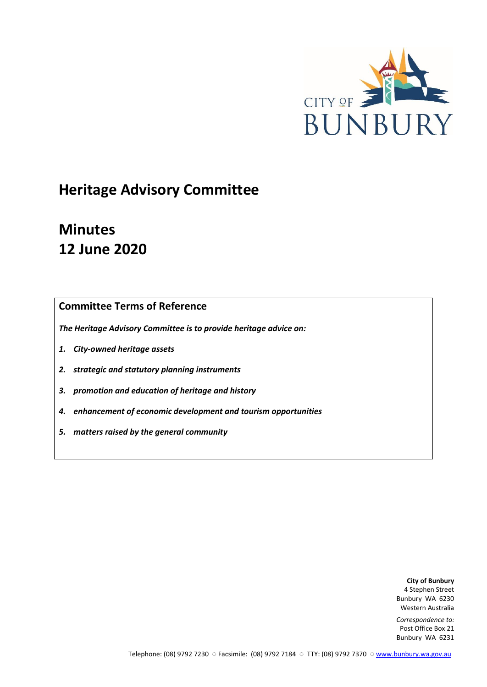

# **Heritage Advisory Committee**

# **Minutes 12 June 2020**

## **Committee Terms of Reference**

*The Heritage Advisory Committee is to provide heritage advice on:*

- *1. City-owned heritage assets*
- *2. strategic and statutory planning instruments*
- *3. promotion and education of heritage and history*
- *4. enhancement of economic development and tourism opportunities*
- *5. matters raised by the general community*

**City of Bunbury** 4 Stephen Street Bunbury WA 6230 Western Australia

*Correspondence to:* Post Office Box 21 Bunbury WA 6231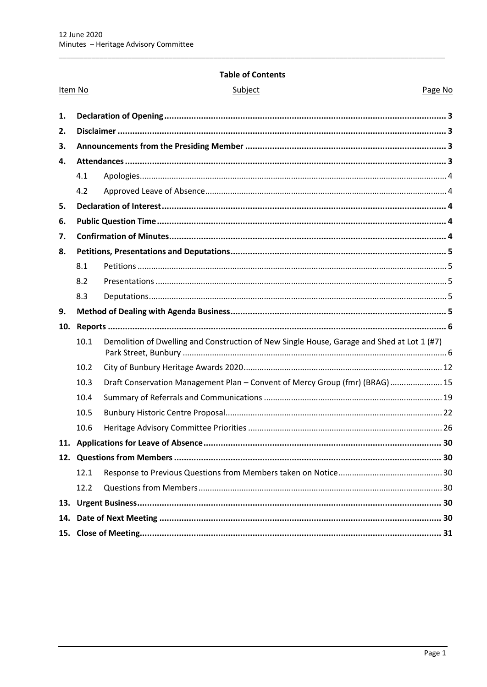## **Table of Contents**

|     | Item No | Subject                                                                                    | Page No |
|-----|---------|--------------------------------------------------------------------------------------------|---------|
| 1.  |         |                                                                                            |         |
| 2.  |         |                                                                                            |         |
| 3.  |         |                                                                                            |         |
| 4.  |         |                                                                                            |         |
|     | 4.1     |                                                                                            |         |
|     | 4.2     |                                                                                            |         |
| 5.  |         |                                                                                            |         |
| 6.  |         |                                                                                            |         |
| 7.  |         |                                                                                            |         |
| 8.  |         |                                                                                            |         |
|     | 8.1     |                                                                                            |         |
|     | 8.2     |                                                                                            |         |
|     | 8.3     |                                                                                            |         |
| 9.  |         |                                                                                            |         |
| 10. |         |                                                                                            |         |
|     | 10.1    | Demolition of Dwelling and Construction of New Single House, Garage and Shed at Lot 1 (#7) |         |
|     | 10.2    |                                                                                            |         |
|     | 10.3    | Draft Conservation Management Plan - Convent of Mercy Group (fmr) (BRAG)  15               |         |
|     | 10.4    |                                                                                            |         |
|     | 10.5    |                                                                                            |         |
|     | 10.6    |                                                                                            |         |
|     |         |                                                                                            | 30      |
|     |         |                                                                                            |         |
|     | 12.1    |                                                                                            |         |
|     | 12.2    |                                                                                            |         |
| 13. |         |                                                                                            |         |
| 14. |         |                                                                                            |         |
|     |         |                                                                                            |         |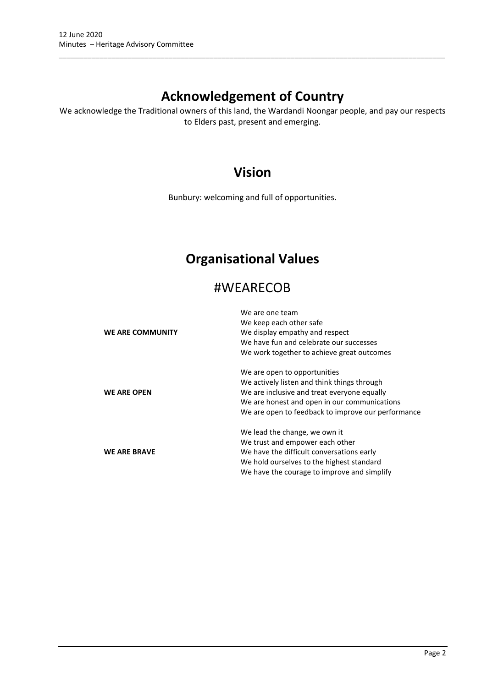## **Acknowledgement of Country**

\_\_\_\_\_\_\_\_\_\_\_\_\_\_\_\_\_\_\_\_\_\_\_\_\_\_\_\_\_\_\_\_\_\_\_\_\_\_\_\_\_\_\_\_\_\_\_\_\_\_\_\_\_\_\_\_\_\_\_\_\_\_\_\_\_\_\_\_\_\_\_\_\_\_\_\_\_\_\_\_\_\_\_\_\_\_\_\_\_\_\_\_\_\_\_

We acknowledge the Traditional owners of this land, the Wardandi Noongar people, and pay our respects to Elders past, present and emerging.

## **Vision**

Bunbury: welcoming and full of opportunities.

## **Organisational Values**

## #WEARECOB

|                     | We are one team                                    |
|---------------------|----------------------------------------------------|
|                     | We keep each other safe                            |
| WE ARE COMMUNITY    | We display empathy and respect                     |
|                     | We have fun and celebrate our successes            |
|                     | We work together to achieve great outcomes         |
|                     | We are open to opportunities                       |
|                     | We actively listen and think things through        |
| <b>WE ARE OPEN</b>  | We are inclusive and treat everyone equally        |
|                     | We are honest and open in our communications       |
|                     | We are open to feedback to improve our performance |
|                     | We lead the change, we own it                      |
|                     | We trust and empower each other                    |
| <b>WE ARE BRAVE</b> | We have the difficult conversations early          |
|                     | We hold ourselves to the highest standard          |
|                     | We have the courage to improve and simplify        |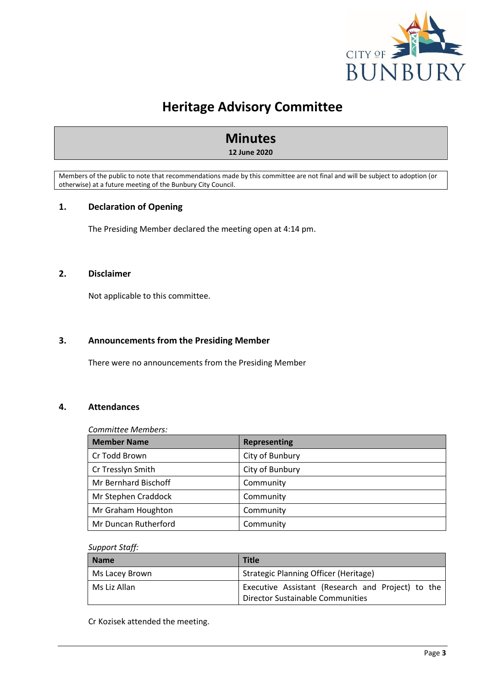

## **Heritage Advisory Committee**

# **Minutes**

**12 June 2020**

Members of the public to note that recommendations made by this committee are not final and will be subject to adoption (or otherwise) at a future meeting of the Bunbury City Council.

## <span id="page-3-0"></span>**1. Declaration of Opening**

The Presiding Member declared the meeting open at 4:14 pm.

## <span id="page-3-1"></span>**2. Disclaimer**

Not applicable to this committee.

## <span id="page-3-2"></span>**3. Announcements from the Presiding Member**

There were no announcements from the Presiding Member

## <span id="page-3-3"></span>**4. Attendances**

## *Committee Members:*

| <b>Member Name</b>   | <b>Representing</b> |
|----------------------|---------------------|
| Cr Todd Brown        | City of Bunbury     |
| Cr Tresslyn Smith    | City of Bunbury     |
| Mr Bernhard Bischoff | Community           |
| Mr Stephen Craddock  | Community           |
| Mr Graham Houghton   | Community           |
| Mr Duncan Rutherford | Community           |

## *Support Staff:*

| Name           | <b>Title</b>                                                                          |
|----------------|---------------------------------------------------------------------------------------|
| Ms Lacey Brown | Strategic Planning Officer (Heritage)                                                 |
| Ms Liz Allan   | Executive Assistant (Research and Project) to the<br>Director Sustainable Communities |

Cr Kozisek attended the meeting.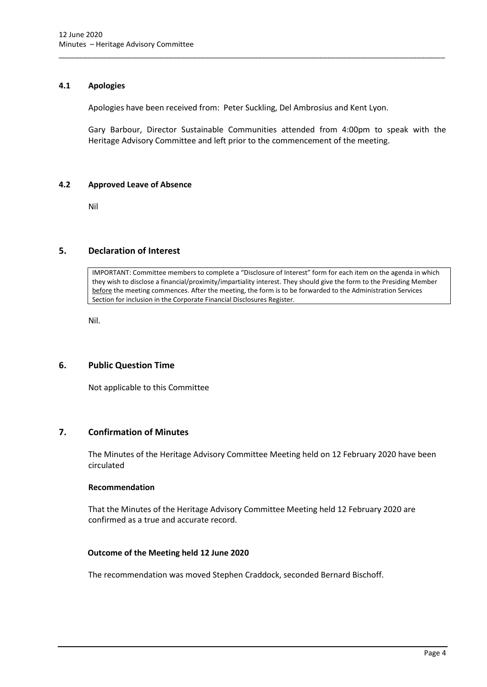## <span id="page-4-0"></span>**4.1 Apologies**

Apologies have been received from: Peter Suckling, Del Ambrosius and Kent Lyon.

\_\_\_\_\_\_\_\_\_\_\_\_\_\_\_\_\_\_\_\_\_\_\_\_\_\_\_\_\_\_\_\_\_\_\_\_\_\_\_\_\_\_\_\_\_\_\_\_\_\_\_\_\_\_\_\_\_\_\_\_\_\_\_\_\_\_\_\_\_\_\_\_\_\_\_\_\_\_\_\_\_\_\_\_\_\_\_\_\_\_\_\_\_\_\_

Gary Barbour, Director Sustainable Communities attended from 4:00pm to speak with the Heritage Advisory Committee and left prior to the commencement of the meeting.

## <span id="page-4-1"></span>**4.2 Approved Leave of Absence**

Nil

## <span id="page-4-2"></span>**5. Declaration of Interest**

IMPORTANT: Committee members to complete a "Disclosure of Interest" form for each item on the agenda in which they wish to disclose a financial/proximity/impartiality interest. They should give the form to the Presiding Member before the meeting commences. After the meeting, the form is to be forwarded to the Administration Services Section for inclusion in the Corporate Financial Disclosures Register.

Nil.

## <span id="page-4-3"></span>**6. Public Question Time**

Not applicable to this Committee

## <span id="page-4-4"></span>**7. Confirmation of Minutes**

The Minutes of the Heritage Advisory Committee Meeting held on 12 February 2020 have been circulated

## **Recommendation**

That the Minutes of the Heritage Advisory Committee Meeting held 12 February 2020 are confirmed as a true and accurate record.

## **Outcome of the Meeting held 12 June 2020**

The recommendation was moved Stephen Craddock, seconded Bernard Bischoff.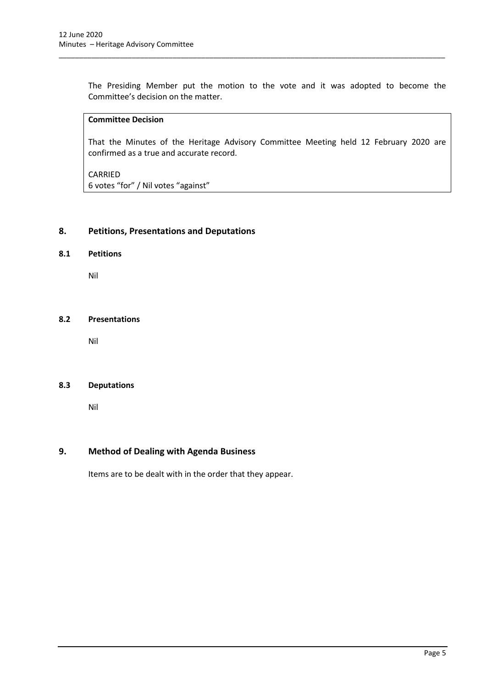The Presiding Member put the motion to the vote and it was adopted to become the Committee's decision on the matter.

\_\_\_\_\_\_\_\_\_\_\_\_\_\_\_\_\_\_\_\_\_\_\_\_\_\_\_\_\_\_\_\_\_\_\_\_\_\_\_\_\_\_\_\_\_\_\_\_\_\_\_\_\_\_\_\_\_\_\_\_\_\_\_\_\_\_\_\_\_\_\_\_\_\_\_\_\_\_\_\_\_\_\_\_\_\_\_\_\_\_\_\_\_\_\_

## **Committee Decision**

That the Minutes of the Heritage Advisory Committee Meeting held 12 February 2020 are confirmed as a true and accurate record.

CARRIED

6 votes "for" / Nil votes "against"

## <span id="page-5-0"></span>**8. Petitions, Presentations and Deputations**

## <span id="page-5-1"></span>**8.1 Petitions**

Nil

## <span id="page-5-2"></span>**8.2 Presentations**

Nil

#### <span id="page-5-3"></span>**8.3 Deputations**

Nil

## <span id="page-5-4"></span>**9. Method of Dealing with Agenda Business**

Items are to be dealt with in the order that they appear.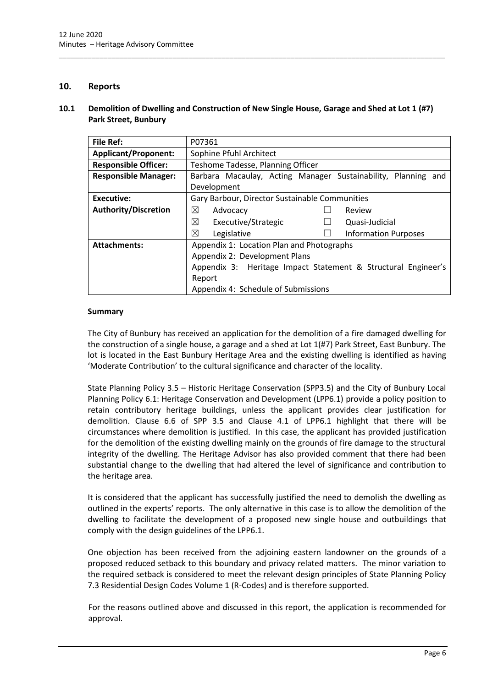## <span id="page-6-0"></span>**10. Reports**

## <span id="page-6-1"></span>**10.1 Demolition of Dwelling and Construction of New Single House, Garage and Shed at Lot 1 (#7) Park Street, Bunbury**

\_\_\_\_\_\_\_\_\_\_\_\_\_\_\_\_\_\_\_\_\_\_\_\_\_\_\_\_\_\_\_\_\_\_\_\_\_\_\_\_\_\_\_\_\_\_\_\_\_\_\_\_\_\_\_\_\_\_\_\_\_\_\_\_\_\_\_\_\_\_\_\_\_\_\_\_\_\_\_\_\_\_\_\_\_\_\_\_\_\_\_\_\_\_\_

| <b>File Ref:</b>            | P07361                                                           |  |  |  |
|-----------------------------|------------------------------------------------------------------|--|--|--|
| <b>Applicant/Proponent:</b> | Sophine Pfuhl Architect                                          |  |  |  |
| <b>Responsible Officer:</b> | Teshome Tadesse, Planning Officer                                |  |  |  |
| <b>Responsible Manager:</b> | Barbara Macaulay, Acting Manager Sustainability, Planning and    |  |  |  |
|                             | Development                                                      |  |  |  |
| Executive:                  | Gary Barbour, Director Sustainable Communities                   |  |  |  |
| <b>Authority/Discretion</b> | ⊠<br>Advocacy<br>Review                                          |  |  |  |
|                             | ⊠<br>Executive/Strategic<br>Quasi-Judicial                       |  |  |  |
|                             | ⊠<br>Legislative<br><b>Information Purposes</b>                  |  |  |  |
| <b>Attachments:</b>         | Appendix 1: Location Plan and Photographs                        |  |  |  |
|                             | Appendix 2: Development Plans                                    |  |  |  |
|                             | Heritage Impact Statement & Structural Engineer's<br>Appendix 3: |  |  |  |
|                             | Report                                                           |  |  |  |
|                             | Appendix 4: Schedule of Submissions                              |  |  |  |

## **Summary**

The City of Bunbury has received an application for the demolition of a fire damaged dwelling for the construction of a single house, a garage and a shed at Lot 1(#7) Park Street, East Bunbury. The lot is located in the East Bunbury Heritage Area and the existing dwelling is identified as having 'Moderate Contribution' to the cultural significance and character of the locality.

State Planning Policy 3.5 – Historic Heritage Conservation (SPP3.5) and the City of Bunbury Local Planning Policy 6.1: Heritage Conservation and Development (LPP6.1) provide a policy position to retain contributory heritage buildings, unless the applicant provides clear justification for demolition. Clause 6.6 of SPP 3.5 and Clause 4.1 of LPP6.1 highlight that there will be circumstances where demolition is justified. In this case, the applicant has provided justification for the demolition of the existing dwelling mainly on the grounds of fire damage to the structural integrity of the dwelling. The Heritage Advisor has also provided comment that there had been substantial change to the dwelling that had altered the level of significance and contribution to the heritage area.

It is considered that the applicant has successfully justified the need to demolish the dwelling as outlined in the experts' reports. The only alternative in this case is to allow the demolition of the dwelling to facilitate the development of a proposed new single house and outbuildings that comply with the design guidelines of the LPP6.1.

One objection has been received from the adjoining eastern landowner on the grounds of a proposed reduced setback to this boundary and privacy related matters. The minor variation to the required setback is considered to meet the relevant design principles of State Planning Policy 7.3 Residential Design Codes Volume 1 (R-Codes) and is therefore supported.

For the reasons outlined above and discussed in this report, the application is recommended for approval.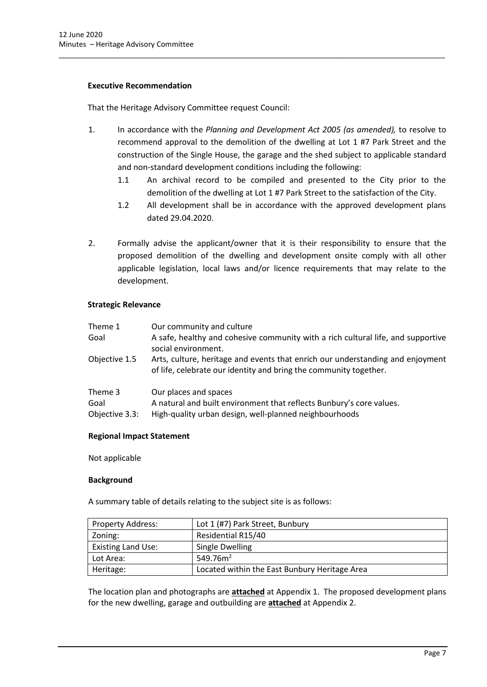## **Executive Recommendation**

That the Heritage Advisory Committee request Council:

1. In accordance with the *Planning and Development Act 2005 (as amended),* to resolve to recommend approval to the demolition of the dwelling at Lot 1 #7 Park Street and the construction of the Single House, the garage and the shed subject to applicable standard and non-standard development conditions including the following:

\_\_\_\_\_\_\_\_\_\_\_\_\_\_\_\_\_\_\_\_\_\_\_\_\_\_\_\_\_\_\_\_\_\_\_\_\_\_\_\_\_\_\_\_\_\_\_\_\_\_\_\_\_\_\_\_\_\_\_\_\_\_\_\_\_\_\_\_\_\_\_\_\_\_\_\_\_\_\_\_\_\_\_\_\_\_\_\_\_\_\_\_\_\_\_

- 1.1 An archival record to be compiled and presented to the City prior to the demolition of the dwelling at Lot 1 #7 Park Street to the satisfaction of the City.
- 1.2 All development shall be in accordance with the approved development plans dated 29.04.2020.
- 2. Formally advise the applicant/owner that it is their responsibility to ensure that the proposed demolition of the dwelling and development onsite comply with all other applicable legislation, local laws and/or licence requirements that may relate to the development.

## **Strategic Relevance**

| Theme 1<br>Goal                   | Our community and culture<br>A safe, healthy and cohesive community with a rich cultural life, and supportive<br>social environment.                    |
|-----------------------------------|---------------------------------------------------------------------------------------------------------------------------------------------------------|
| Objective 1.5                     | Arts, culture, heritage and events that enrich our understanding and enjoyment<br>of life, celebrate our identity and bring the community together.     |
| Theme 3<br>Goal<br>Objective 3.3: | Our places and spaces<br>A natural and built environment that reflects Bunbury's core values.<br>High-quality urban design, well-planned neighbourhoods |

## **Regional Impact Statement**

Not applicable

## **Background**

A summary table of details relating to the subject site is as follows:

| <b>Property Address:</b>  | Lot 1 (#7) Park Street, Bunbury               |
|---------------------------|-----------------------------------------------|
| Zoning:                   | Residential R15/40                            |
| <b>Existing Land Use:</b> | Single Dwelling                               |
| Lot Area:                 | 549.76 $m2$                                   |
| Heritage:                 | Located within the East Bunbury Heritage Area |

The location plan and photographs are **attached** at Appendix 1. The proposed development plans for the new dwelling, garage and outbuilding are **attached** at Appendix 2.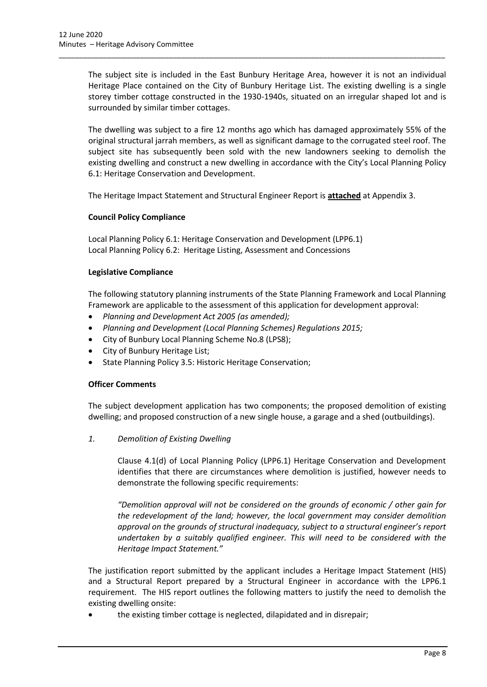The subject site is included in the East Bunbury Heritage Area, however it is not an individual Heritage Place contained on the City of Bunbury Heritage List. The existing dwelling is a single storey timber cottage constructed in the 1930-1940s, situated on an irregular shaped lot and is surrounded by similar timber cottages.

\_\_\_\_\_\_\_\_\_\_\_\_\_\_\_\_\_\_\_\_\_\_\_\_\_\_\_\_\_\_\_\_\_\_\_\_\_\_\_\_\_\_\_\_\_\_\_\_\_\_\_\_\_\_\_\_\_\_\_\_\_\_\_\_\_\_\_\_\_\_\_\_\_\_\_\_\_\_\_\_\_\_\_\_\_\_\_\_\_\_\_\_\_\_\_

The dwelling was subject to a fire 12 months ago which has damaged approximately 55% of the original structural jarrah members, as well as significant damage to the corrugated steel roof. The subject site has subsequently been sold with the new landowners seeking to demolish the existing dwelling and construct a new dwelling in accordance with the City's Local Planning Policy 6.1: Heritage Conservation and Development.

The Heritage Impact Statement and Structural Engineer Report is **attached** at Appendix 3.

## **Council Policy Compliance**

Local Planning Policy 6.1: Heritage Conservation and Development (LPP6.1) Local Planning Policy 6.2: Heritage Listing, Assessment and Concessions

## **Legislative Compliance**

The following statutory planning instruments of the State Planning Framework and Local Planning Framework are applicable to the assessment of this application for development approval:

- *Planning and Development Act 2005 (as amended);*
- *Planning and Development (Local Planning Schemes) Regulations 2015;*
- City of Bunbury Local Planning Scheme No.8 (LPS8);
- City of Bunbury Heritage List;
- State Planning Policy 3.5: Historic Heritage Conservation;

## **Officer Comments**

The subject development application has two components; the proposed demolition of existing dwelling; and proposed construction of a new single house, a garage and a shed (outbuildings).

*1. Demolition of Existing Dwelling*

Clause 4.1(d) of Local Planning Policy (LPP6.1) Heritage Conservation and Development identifies that there are circumstances where demolition is justified, however needs to demonstrate the following specific requirements:

*"Demolition approval will not be considered on the grounds of economic / other gain for the redevelopment of the land; however, the local government may consider demolition approval on the grounds of structural inadequacy, subject to a structural engineer's report undertaken by a suitably qualified engineer. This will need to be considered with the Heritage Impact Statement."*

The justification report submitted by the applicant includes a Heritage Impact Statement (HIS) and a Structural Report prepared by a Structural Engineer in accordance with the LPP6.1 requirement. The HIS report outlines the following matters to justify the need to demolish the existing dwelling onsite:

• the existing timber cottage is neglected, dilapidated and in disrepair;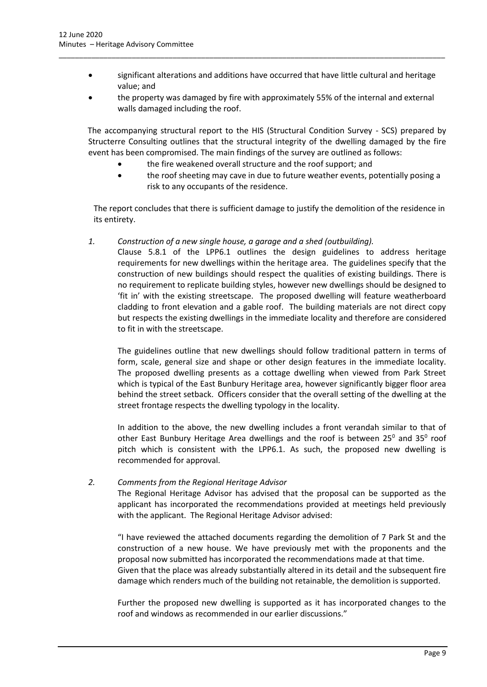• significant alterations and additions have occurred that have little cultural and heritage value; and

\_\_\_\_\_\_\_\_\_\_\_\_\_\_\_\_\_\_\_\_\_\_\_\_\_\_\_\_\_\_\_\_\_\_\_\_\_\_\_\_\_\_\_\_\_\_\_\_\_\_\_\_\_\_\_\_\_\_\_\_\_\_\_\_\_\_\_\_\_\_\_\_\_\_\_\_\_\_\_\_\_\_\_\_\_\_\_\_\_\_\_\_\_\_\_

• the property was damaged by fire with approximately 55% of the internal and external walls damaged including the roof.

The accompanying structural report to the HIS (Structural Condition Survey - SCS) prepared by Structerre Consulting outlines that the structural integrity of the dwelling damaged by the fire event has been compromised. The main findings of the survey are outlined as follows:

- the fire weakened overall structure and the roof support; and
- the roof sheeting may cave in due to future weather events, potentially posing a risk to any occupants of the residence.

The report concludes that there is sufficient damage to justify the demolition of the residence in its entirety.

*1. Construction of a new single house, a garage and a shed (outbuilding).*

Clause 5.8.1 of the LPP6.1 outlines the design guidelines to address heritage requirements for new dwellings within the heritage area. The guidelines specify that the construction of new buildings should respect the qualities of existing buildings. There is no requirement to replicate building styles, however new dwellings should be designed to 'fit in' with the existing streetscape. The proposed dwelling will feature weatherboard cladding to front elevation and a gable roof. The building materials are not direct copy but respects the existing dwellings in the immediate locality and therefore are considered to fit in with the streetscape.

The guidelines outline that new dwellings should follow traditional pattern in terms of form, scale, general size and shape or other design features in the immediate locality. The proposed dwelling presents as a cottage dwelling when viewed from Park Street which is typical of the East Bunbury Heritage area, however significantly bigger floor area behind the street setback. Officers consider that the overall setting of the dwelling at the street frontage respects the dwelling typology in the locality.

In addition to the above, the new dwelling includes a front verandah similar to that of other East Bunbury Heritage Area dwellings and the roof is between 25 $^{\text{o}}$  and 35 $^{\text{o}}$  roof pitch which is consistent with the LPP6.1. As such, the proposed new dwelling is recommended for approval.

## *2. Comments from the Regional Heritage Advisor*

The Regional Heritage Advisor has advised that the proposal can be supported as the applicant has incorporated the recommendations provided at meetings held previously with the applicant. The Regional Heritage Advisor advised:

"I have reviewed the attached documents regarding the demolition of 7 Park St and the construction of a new house. We have previously met with the proponents and the proposal now submitted has incorporated the recommendations made at that time. Given that the place was already substantially altered in its detail and the subsequent fire damage which renders much of the building not retainable, the demolition is supported.

Further the proposed new dwelling is supported as it has incorporated changes to the roof and windows as recommended in our earlier discussions."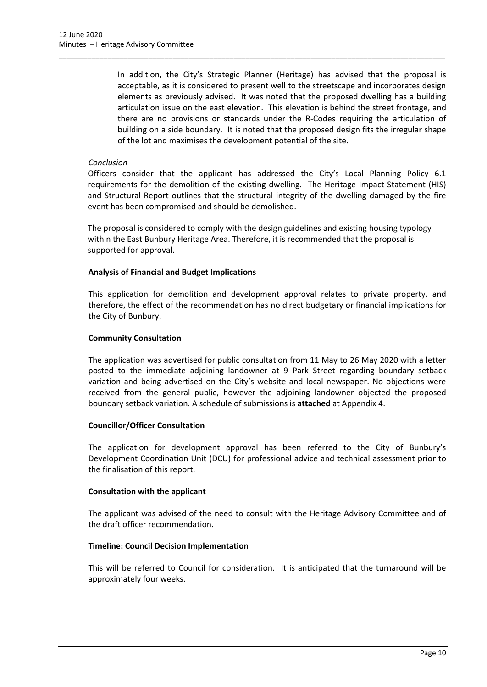In addition, the City's Strategic Planner (Heritage) has advised that the proposal is acceptable, as it is considered to present well to the streetscape and incorporates design elements as previously advised. It was noted that the proposed dwelling has a building articulation issue on the east elevation. This elevation is behind the street frontage, and there are no provisions or standards under the R-Codes requiring the articulation of building on a side boundary. It is noted that the proposed design fits the irregular shape of the lot and maximises the development potential of the site.

\_\_\_\_\_\_\_\_\_\_\_\_\_\_\_\_\_\_\_\_\_\_\_\_\_\_\_\_\_\_\_\_\_\_\_\_\_\_\_\_\_\_\_\_\_\_\_\_\_\_\_\_\_\_\_\_\_\_\_\_\_\_\_\_\_\_\_\_\_\_\_\_\_\_\_\_\_\_\_\_\_\_\_\_\_\_\_\_\_\_\_\_\_\_\_

## *Conclusion*

Officers consider that the applicant has addressed the City's Local Planning Policy 6.1 requirements for the demolition of the existing dwelling. The Heritage Impact Statement (HIS) and Structural Report outlines that the structural integrity of the dwelling damaged by the fire event has been compromised and should be demolished.

The proposal is considered to comply with the design guidelines and existing housing typology within the East Bunbury Heritage Area. Therefore, it is recommended that the proposal is supported for approval.

## **Analysis of Financial and Budget Implications**

This application for demolition and development approval relates to private property, and therefore, the effect of the recommendation has no direct budgetary or financial implications for the City of Bunbury.

## **Community Consultation**

The application was advertised for public consultation from 11 May to 26 May 2020 with a letter posted to the immediate adjoining landowner at 9 Park Street regarding boundary setback variation and being advertised on the City's website and local newspaper. No objections were received from the general public, however the adjoining landowner objected the proposed boundary setback variation. A schedule of submissions is **attached** at Appendix 4.

## **Councillor/Officer Consultation**

The application for development approval has been referred to the City of Bunbury's Development Coordination Unit (DCU) for professional advice and technical assessment prior to the finalisation of this report.

## **Consultation with the applicant**

The applicant was advised of the need to consult with the Heritage Advisory Committee and of the draft officer recommendation.

## **Timeline: Council Decision Implementation**

This will be referred to Council for consideration. It is anticipated that the turnaround will be approximately four weeks.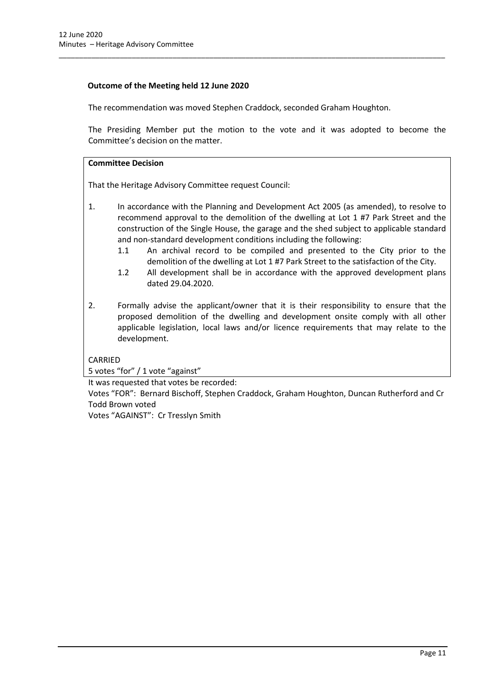## **Outcome of the Meeting held 12 June 2020**

The recommendation was moved Stephen Craddock, seconded Graham Houghton.

\_\_\_\_\_\_\_\_\_\_\_\_\_\_\_\_\_\_\_\_\_\_\_\_\_\_\_\_\_\_\_\_\_\_\_\_\_\_\_\_\_\_\_\_\_\_\_\_\_\_\_\_\_\_\_\_\_\_\_\_\_\_\_\_\_\_\_\_\_\_\_\_\_\_\_\_\_\_\_\_\_\_\_\_\_\_\_\_\_\_\_\_\_\_\_

The Presiding Member put the motion to the vote and it was adopted to become the Committee's decision on the matter.

## **Committee Decision**

That the Heritage Advisory Committee request Council:

- 1. In accordance with the Planning and Development Act 2005 (as amended), to resolve to recommend approval to the demolition of the dwelling at Lot 1 #7 Park Street and the construction of the Single House, the garage and the shed subject to applicable standard and non-standard development conditions including the following:
	- 1.1 An archival record to be compiled and presented to the City prior to the demolition of the dwelling at Lot 1 #7 Park Street to the satisfaction of the City.
	- 1.2 All development shall be in accordance with the approved development plans dated 29.04.2020.
- 2. Formally advise the applicant/owner that it is their responsibility to ensure that the proposed demolition of the dwelling and development onsite comply with all other applicable legislation, local laws and/or licence requirements that may relate to the development.

## CARRIED

5 votes "for" / 1 vote "against"

It was requested that votes be recorded:

Votes "FOR": Bernard Bischoff, Stephen Craddock, Graham Houghton, Duncan Rutherford and Cr Todd Brown voted

Votes "AGAINST": Cr Tresslyn Smith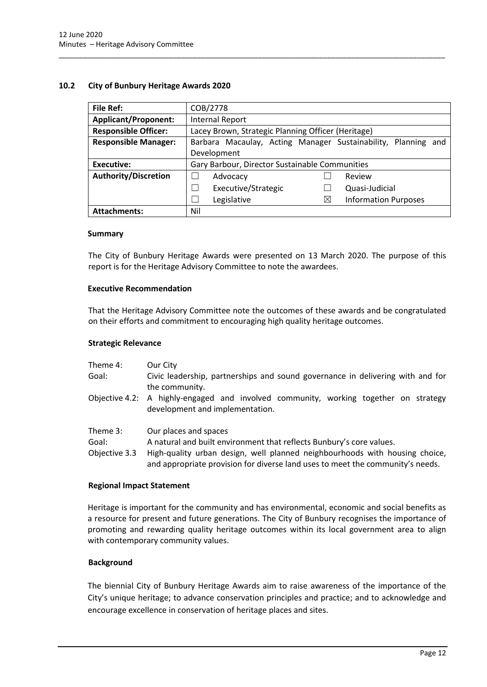## <span id="page-12-0"></span>**10.2 City of Bunbury Heritage Awards 2020**

| File Ref:                   | COB/2778                                                         |  |
|-----------------------------|------------------------------------------------------------------|--|
| <b>Applicant/Proponent:</b> | <b>Internal Report</b>                                           |  |
| <b>Responsible Officer:</b> | Lacey Brown, Strategic Planning Officer (Heritage)               |  |
| <b>Responsible Manager:</b> | Barbara Macaulay, Acting Manager Sustainability, Planning<br>and |  |
|                             | Development                                                      |  |
| <b>Executive:</b>           | Gary Barbour, Director Sustainable Communities                   |  |
| <b>Authority/Discretion</b> | Advocacy<br>Review                                               |  |
|                             | Executive/Strategic<br>Quasi-Judicial                            |  |
|                             | <b>Information Purposes</b><br>Legislative<br>$\times$           |  |
| <b>Attachments:</b>         | Nil                                                              |  |

\_\_\_\_\_\_\_\_\_\_\_\_\_\_\_\_\_\_\_\_\_\_\_\_\_\_\_\_\_\_\_\_\_\_\_\_\_\_\_\_\_\_\_\_\_\_\_\_\_\_\_\_\_\_\_\_\_\_\_\_\_\_\_\_\_\_\_\_\_\_\_\_\_\_\_\_\_\_\_\_\_\_\_\_\_\_\_\_\_\_\_\_\_\_\_

#### **Summary**

The City of Bunbury Heritage Awards were presented on 13 March 2020. The purpose of this report is for the Heritage Advisory Committee to note the awardees.

## **Executive Recommendation**

That the Heritage Advisory Committee note the outcomes of these awards and be congratulated on their efforts and commitment to encouraging high quality heritage outcomes.

#### **Strategic Relevance**

| Theme 4:<br>Goal:                  | Our City<br>Civic leadership, partnerships and sound governance in delivering with and for<br>the community.                                                                                                                                                   |
|------------------------------------|----------------------------------------------------------------------------------------------------------------------------------------------------------------------------------------------------------------------------------------------------------------|
|                                    | Objective 4.2: A highly-engaged and involved community, working together on strategy<br>development and implementation.                                                                                                                                        |
| Theme 3:<br>Goal:<br>Objective 3.3 | Our places and spaces<br>A natural and built environment that reflects Bunbury's core values.<br>High-quality urban design, well planned neighbourhoods with housing choice,<br>and appropriate provision for diverse land uses to meet the community's needs. |

## **Regional Impact Statement**

Heritage is important for the community and has environmental, economic and social benefits as a resource for present and future generations. The City of Bunbury recognises the importance of promoting and rewarding quality heritage outcomes within its local government area to align with contemporary community values.

## **Background**

The biennial City of Bunbury Heritage Awards aim to raise awareness of the importance of the City's unique heritage; to advance conservation principles and practice; and to acknowledge and encourage excellence in conservation of heritage places and sites.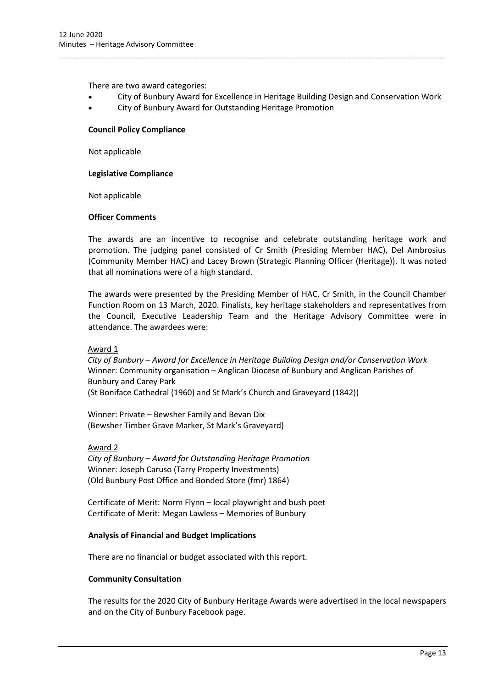There are two award categories:

• City of Bunbury Award for Excellence in Heritage Building Design and Conservation Work

\_\_\_\_\_\_\_\_\_\_\_\_\_\_\_\_\_\_\_\_\_\_\_\_\_\_\_\_\_\_\_\_\_\_\_\_\_\_\_\_\_\_\_\_\_\_\_\_\_\_\_\_\_\_\_\_\_\_\_\_\_\_\_\_\_\_\_\_\_\_\_\_\_\_\_\_\_\_\_\_\_\_\_\_\_\_\_\_\_\_\_\_\_\_\_

• City of Bunbury Award for Outstanding Heritage Promotion

#### **Council Policy Compliance**

Not applicable

#### **Legislative Compliance**

Not applicable

#### **Officer Comments**

The awards are an incentive to recognise and celebrate outstanding heritage work and promotion. The judging panel consisted of Cr Smith (Presiding Member HAC), Del Ambrosius (Community Member HAC) and Lacey Brown (Strategic Planning Officer (Heritage)). It was noted that all nominations were of a high standard.

The awards were presented by the Presiding Member of HAC, Cr Smith, in the Council Chamber Function Room on 13 March, 2020. Finalists, key heritage stakeholders and representatives from the Council, Executive Leadership Team and the Heritage Advisory Committee were in attendance. The awardees were:

## Award 1

*City of Bunbury – Award for Excellence in Heritage Building Design and/or Conservation Work*  Winner: Community organisation – Anglican Diocese of Bunbury and Anglican Parishes of Bunbury and Carey Park

(St Boniface Cathedral (1960) and St Mark's Church and Graveyard (1842))

Winner: Private – Bewsher Family and Bevan Dix (Bewsher Timber Grave Marker, St Mark's Graveyard)

Award 2

*City of Bunbury – Award for Outstanding Heritage Promotion* Winner: Joseph Caruso (Tarry Property Investments) (Old Bunbury Post Office and Bonded Store (fmr) 1864)

Certificate of Merit: Norm Flynn – local playwright and bush poet Certificate of Merit: Megan Lawless – Memories of Bunbury

## **Analysis of Financial and Budget Implications**

There are no financial or budget associated with this report.

#### **Community Consultation**

The results for the 2020 City of Bunbury Heritage Awards were advertised in the local newspapers and on the City of Bunbury Facebook page.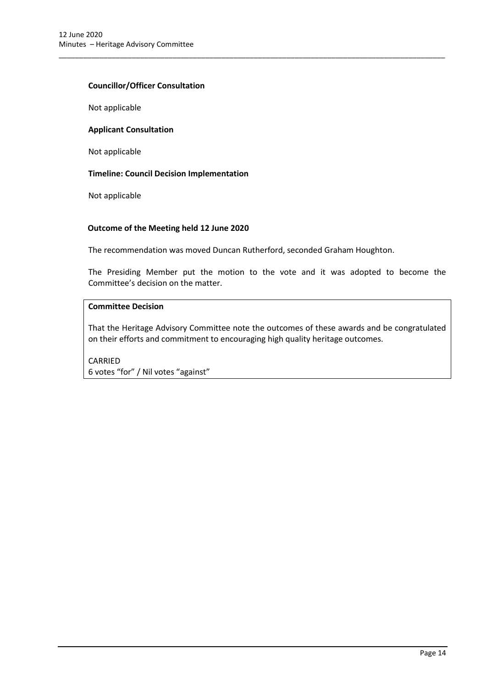## **Councillor/Officer Consultation**

Not applicable

#### **Applicant Consultation**

Not applicable

## **Timeline: Council Decision Implementation**

Not applicable

## **Outcome of the Meeting held 12 June 2020**

The recommendation was moved Duncan Rutherford, seconded Graham Houghton.

\_\_\_\_\_\_\_\_\_\_\_\_\_\_\_\_\_\_\_\_\_\_\_\_\_\_\_\_\_\_\_\_\_\_\_\_\_\_\_\_\_\_\_\_\_\_\_\_\_\_\_\_\_\_\_\_\_\_\_\_\_\_\_\_\_\_\_\_\_\_\_\_\_\_\_\_\_\_\_\_\_\_\_\_\_\_\_\_\_\_\_\_\_\_\_

The Presiding Member put the motion to the vote and it was adopted to become the Committee's decision on the matter.

## **Committee Decision**

That the Heritage Advisory Committee note the outcomes of these awards and be congratulated on their efforts and commitment to encouraging high quality heritage outcomes.

CARRIED 6 votes "for" / Nil votes "against"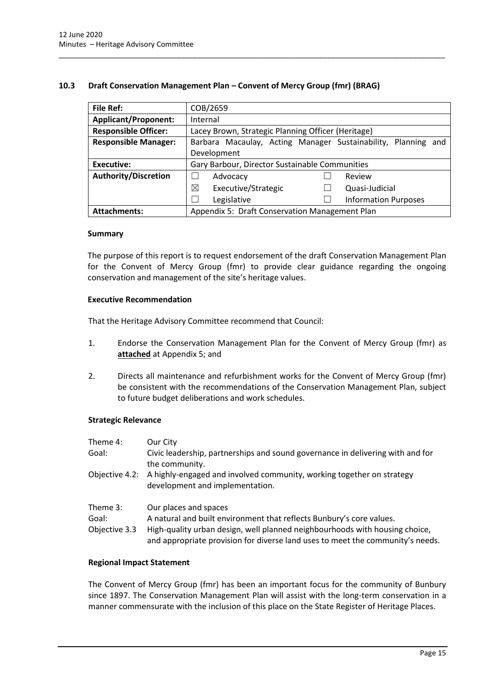## <span id="page-15-0"></span>**10.3 Draft Conservation Management Plan – Convent of Mercy Group (fmr) (BRAG)**

\_\_\_\_\_\_\_\_\_\_\_\_\_\_\_\_\_\_\_\_\_\_\_\_\_\_\_\_\_\_\_\_\_\_\_\_\_\_\_\_\_\_\_\_\_\_\_\_\_\_\_\_\_\_\_\_\_\_\_\_\_\_\_\_\_\_\_\_\_\_\_\_\_\_\_\_\_\_\_\_\_\_\_\_\_\_\_\_\_\_\_\_\_\_\_

| <b>File Ref:</b>            | COB/2659                                                         |  |
|-----------------------------|------------------------------------------------------------------|--|
| <b>Applicant/Proponent:</b> | Internal                                                         |  |
| <b>Responsible Officer:</b> | Lacey Brown, Strategic Planning Officer (Heritage)               |  |
| <b>Responsible Manager:</b> | Barbara Macaulay, Acting Manager Sustainability, Planning<br>and |  |
|                             | Development                                                      |  |
| <b>Executive:</b>           | Gary Barbour, Director Sustainable Communities                   |  |
| <b>Authority/Discretion</b> | Advocacy<br>Review                                               |  |
|                             | ⊠<br>Executive/Strategic<br>Quasi-Judicial                       |  |
|                             | Legislative<br><b>Information Purposes</b>                       |  |
| <b>Attachments:</b>         | Appendix 5: Draft Conservation Management Plan                   |  |

#### **Summary**

The purpose of this report is to request endorsement of the draft Conservation Management Plan for the Convent of Mercy Group (fmr) to provide clear guidance regarding the ongoing conservation and management of the site's heritage values.

## **Executive Recommendation**

That the Heritage Advisory Committee recommend that Council:

- 1. Endorse the Conservation Management Plan for the Convent of Mercy Group (fmr) as **attached** at Appendix 5; and
- 2. Directs all maintenance and refurbishment works for the Convent of Mercy Group (fmr) be consistent with the recommendations of the Conservation Management Plan, subject to future budget deliberations and work schedules.

## **Strategic Relevance**

| Theme 4:      | Our City                                                                                                                                                      |
|---------------|---------------------------------------------------------------------------------------------------------------------------------------------------------------|
| Goal:         | Civic leadership, partnerships and sound governance in delivering with and for<br>the community.                                                              |
|               | Objective 4.2: A highly-engaged and involved community, working together on strategy<br>development and implementation.                                       |
| Theme 3:      | Our places and spaces                                                                                                                                         |
| Goal:         | A natural and built environment that reflects Bunbury's core values.                                                                                          |
| Objective 3.3 | High-quality urban design, well planned neighbourhoods with housing choice,<br>and appropriate provision for diverse land uses to meet the community's needs. |

## **Regional Impact Statement**

The Convent of Mercy Group (fmr) has been an important focus for the community of Bunbury since 1897. The Conservation Management Plan will assist with the long-term conservation in a manner commensurate with the inclusion of this place on the State Register of Heritage Places.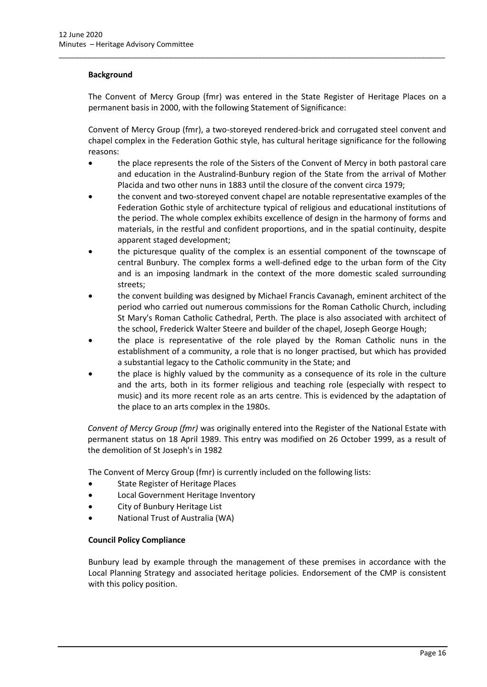## **Background**

The Convent of Mercy Group (fmr) was entered in the State Register of Heritage Places on a permanent basis in 2000, with the following Statement of Significance:

\_\_\_\_\_\_\_\_\_\_\_\_\_\_\_\_\_\_\_\_\_\_\_\_\_\_\_\_\_\_\_\_\_\_\_\_\_\_\_\_\_\_\_\_\_\_\_\_\_\_\_\_\_\_\_\_\_\_\_\_\_\_\_\_\_\_\_\_\_\_\_\_\_\_\_\_\_\_\_\_\_\_\_\_\_\_\_\_\_\_\_\_\_\_\_

Convent of Mercy Group (fmr), a two-storeyed rendered-brick and corrugated steel convent and chapel complex in the Federation Gothic style, has cultural heritage significance for the following reasons:

- the place represents the role of the Sisters of the Convent of Mercy in both pastoral care and education in the Australind-Bunbury region of the State from the arrival of Mother Placida and two other nuns in 1883 until the closure of the convent circa 1979;
- the convent and two-storeyed convent chapel are notable representative examples of the Federation Gothic style of architecture typical of religious and educational institutions of the period. The whole complex exhibits excellence of design in the harmony of forms and materials, in the restful and confident proportions, and in the spatial continuity, despite apparent staged development;
- the picturesque quality of the complex is an essential component of the townscape of central Bunbury. The complex forms a well-defined edge to the urban form of the City and is an imposing landmark in the context of the more domestic scaled surrounding streets;
- the convent building was designed by Michael Francis Cavanagh, eminent architect of the period who carried out numerous commissions for the Roman Catholic Church, including St Mary's Roman Catholic Cathedral, Perth. The place is also associated with architect of the school, Frederick Walter Steere and builder of the chapel, Joseph George Hough;
- the place is representative of the role played by the Roman Catholic nuns in the establishment of a community, a role that is no longer practised, but which has provided a substantial legacy to the Catholic community in the State; and
- the place is highly valued by the community as a consequence of its role in the culture and the arts, both in its former religious and teaching role (especially with respect to music) and its more recent role as an arts centre. This is evidenced by the adaptation of the place to an arts complex in the 1980s.

*Convent of Mercy Group (fmr)* was originally entered into the Register of the National Estate with permanent status on 18 April 1989. This entry was modified on 26 October 1999, as a result of the demolition of St Joseph's in 1982

The Convent of Mercy Group (fmr) is currently included on the following lists:

- State Register of Heritage Places
- Local Government Heritage Inventory
- City of Bunbury Heritage List
- National Trust of Australia (WA)

## **Council Policy Compliance**

Bunbury lead by example through the management of these premises in accordance with the Local Planning Strategy and associated heritage policies. Endorsement of the CMP is consistent with this policy position.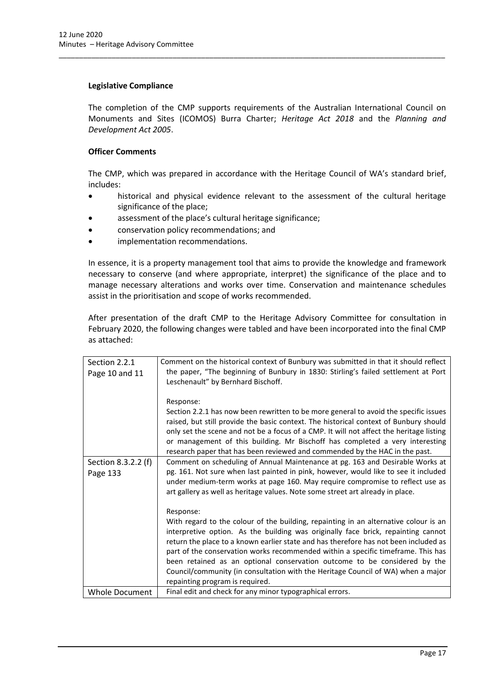## **Legislative Compliance**

The completion of the CMP supports requirements of the Australian International Council on Monuments and Sites (ICOMOS) Burra Charter; *Heritage Act 2018* and the *Planning and Development Act 2005*.

\_\_\_\_\_\_\_\_\_\_\_\_\_\_\_\_\_\_\_\_\_\_\_\_\_\_\_\_\_\_\_\_\_\_\_\_\_\_\_\_\_\_\_\_\_\_\_\_\_\_\_\_\_\_\_\_\_\_\_\_\_\_\_\_\_\_\_\_\_\_\_\_\_\_\_\_\_\_\_\_\_\_\_\_\_\_\_\_\_\_\_\_\_\_\_

## **Officer Comments**

The CMP, which was prepared in accordance with the Heritage Council of WA's standard brief, includes:

- historical and physical evidence relevant to the assessment of the cultural heritage significance of the place;
- assessment of the place's cultural heritage significance;
- conservation policy recommendations; and
- implementation recommendations.

In essence, it is a property management tool that aims to provide the knowledge and framework necessary to conserve (and where appropriate, interpret) the significance of the place and to manage necessary alterations and works over time. Conservation and maintenance schedules assist in the prioritisation and scope of works recommended.

After presentation of the draft CMP to the Heritage Advisory Committee for consultation in February 2020, the following changes were tabled and have been incorporated into the final CMP as attached:

| Section 2.2.1                   | Comment on the historical context of Bunbury was submitted in that it should reflect                                                                                                                                                                                                                                                                                                                                                                                                                                                                                   |
|---------------------------------|------------------------------------------------------------------------------------------------------------------------------------------------------------------------------------------------------------------------------------------------------------------------------------------------------------------------------------------------------------------------------------------------------------------------------------------------------------------------------------------------------------------------------------------------------------------------|
| Page 10 and 11                  | the paper, "The beginning of Bunbury in 1830: Stirling's failed settlement at Port<br>Leschenault" by Bernhard Bischoff.                                                                                                                                                                                                                                                                                                                                                                                                                                               |
|                                 | Response:<br>Section 2.2.1 has now been rewritten to be more general to avoid the specific issues<br>raised, but still provide the basic context. The historical context of Bunbury should<br>only set the scene and not be a focus of a CMP. It will not affect the heritage listing<br>or management of this building. Mr Bischoff has completed a very interesting<br>research paper that has been reviewed and commended by the HAC in the past.                                                                                                                   |
| Section 8.3.2.2 (f)<br>Page 133 | Comment on scheduling of Annual Maintenance at pg. 163 and Desirable Works at<br>pg. 161. Not sure when last painted in pink, however, would like to see it included<br>under medium-term works at page 160. May require compromise to reflect use as<br>art gallery as well as heritage values. Note some street art already in place.                                                                                                                                                                                                                                |
|                                 | Response:<br>With regard to the colour of the building, repainting in an alternative colour is an<br>interpretive option. As the building was originally face brick, repainting cannot<br>return the place to a known earlier state and has therefore has not been included as<br>part of the conservation works recommended within a specific timeframe. This has<br>been retained as an optional conservation outcome to be considered by the<br>Council/community (in consultation with the Heritage Council of WA) when a major<br>repainting program is required. |
| <b>Whole Document</b>           | Final edit and check for any minor typographical errors.                                                                                                                                                                                                                                                                                                                                                                                                                                                                                                               |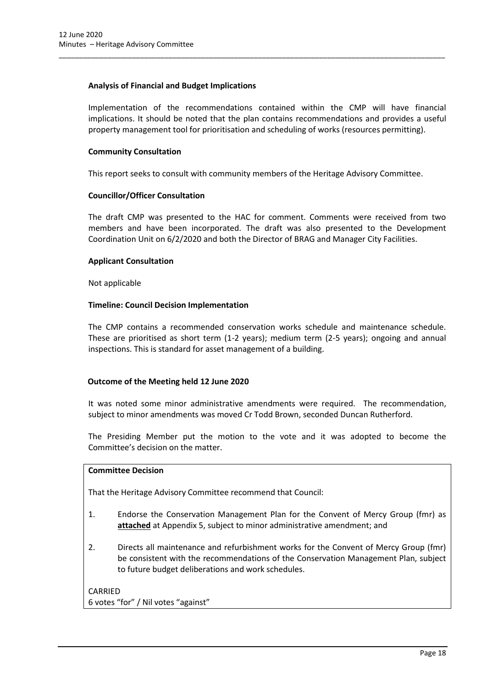## **Analysis of Financial and Budget Implications**

Implementation of the recommendations contained within the CMP will have financial implications. It should be noted that the plan contains recommendations and provides a useful property management tool for prioritisation and scheduling of works (resources permitting).

## **Community Consultation**

This report seeks to consult with community members of the Heritage Advisory Committee.

\_\_\_\_\_\_\_\_\_\_\_\_\_\_\_\_\_\_\_\_\_\_\_\_\_\_\_\_\_\_\_\_\_\_\_\_\_\_\_\_\_\_\_\_\_\_\_\_\_\_\_\_\_\_\_\_\_\_\_\_\_\_\_\_\_\_\_\_\_\_\_\_\_\_\_\_\_\_\_\_\_\_\_\_\_\_\_\_\_\_\_\_\_\_\_

## **Councillor/Officer Consultation**

The draft CMP was presented to the HAC for comment. Comments were received from two members and have been incorporated. The draft was also presented to the Development Coordination Unit on 6/2/2020 and both the Director of BRAG and Manager City Facilities.

## **Applicant Consultation**

Not applicable

## **Timeline: Council Decision Implementation**

The CMP contains a recommended conservation works schedule and maintenance schedule. These are prioritised as short term (1-2 years); medium term (2-5 years); ongoing and annual inspections. This is standard for asset management of a building.

## **Outcome of the Meeting held 12 June 2020**

It was noted some minor administrative amendments were required. The recommendation, subject to minor amendments was moved Cr Todd Brown, seconded Duncan Rutherford.

The Presiding Member put the motion to the vote and it was adopted to become the Committee's decision on the matter.

## **Committee Decision**

That the Heritage Advisory Committee recommend that Council:

- 1. Endorse the Conservation Management Plan for the Convent of Mercy Group (fmr) as **attached** at Appendix 5, subject to minor administrative amendment; and
- 2. Directs all maintenance and refurbishment works for the Convent of Mercy Group (fmr) be consistent with the recommendations of the Conservation Management Plan, subject to future budget deliberations and work schedules.

| CARRIED                             |  |
|-------------------------------------|--|
| 6 votes "for" / Nil votes "against" |  |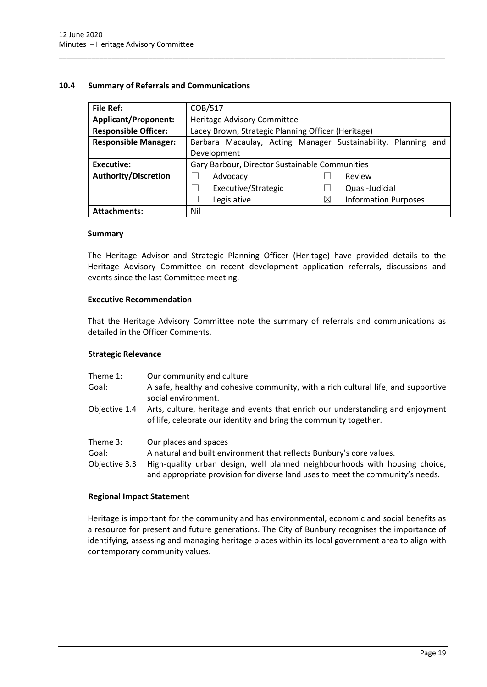## <span id="page-19-0"></span>**10.4 Summary of Referrals and Communications**

| <b>File Ref:</b>            | COB/517                                                       |  |  |
|-----------------------------|---------------------------------------------------------------|--|--|
| <b>Applicant/Proponent:</b> | Heritage Advisory Committee                                   |  |  |
| <b>Responsible Officer:</b> | Lacey Brown, Strategic Planning Officer (Heritage)            |  |  |
| <b>Responsible Manager:</b> | Barbara Macaulay, Acting Manager Sustainability, Planning and |  |  |
|                             | Development                                                   |  |  |
| Executive:                  | Gary Barbour, Director Sustainable Communities                |  |  |
| <b>Authority/Discretion</b> | Review<br>Advocacy                                            |  |  |
|                             | Executive/Strategic<br>Quasi-Judicial<br>- 1                  |  |  |
|                             | Legislative<br><b>Information Purposes</b><br>$\times$<br>×   |  |  |
| <b>Attachments:</b>         | Nil                                                           |  |  |

\_\_\_\_\_\_\_\_\_\_\_\_\_\_\_\_\_\_\_\_\_\_\_\_\_\_\_\_\_\_\_\_\_\_\_\_\_\_\_\_\_\_\_\_\_\_\_\_\_\_\_\_\_\_\_\_\_\_\_\_\_\_\_\_\_\_\_\_\_\_\_\_\_\_\_\_\_\_\_\_\_\_\_\_\_\_\_\_\_\_\_\_\_\_\_

## **Summary**

The Heritage Advisor and Strategic Planning Officer (Heritage) have provided details to the Heritage Advisory Committee on recent development application referrals, discussions and events since the last Committee meeting.

## **Executive Recommendation**

That the Heritage Advisory Committee note the summary of referrals and communications as detailed in the Officer Comments.

## **Strategic Relevance**

- Theme 1: Our community and culture
- Goal: A safe, healthy and cohesive community, with a rich cultural life, and supportive social environment.
- Objective 1.4 Arts, culture, heritage and events that enrich our understanding and enjoyment of life, celebrate our identity and bring the community together.
- Theme 3: Our places and spaces
- Goal: A natural and built environment that reflects Bunbury's core values.
- Objective 3.3 High-quality urban design, well planned neighbourhoods with housing choice, and appropriate provision for diverse land uses to meet the community's needs.

#### **Regional Impact Statement**

Heritage is important for the community and has environmental, economic and social benefits as a resource for present and future generations. The City of Bunbury recognises the importance of identifying, assessing and managing heritage places within its local government area to align with contemporary community values.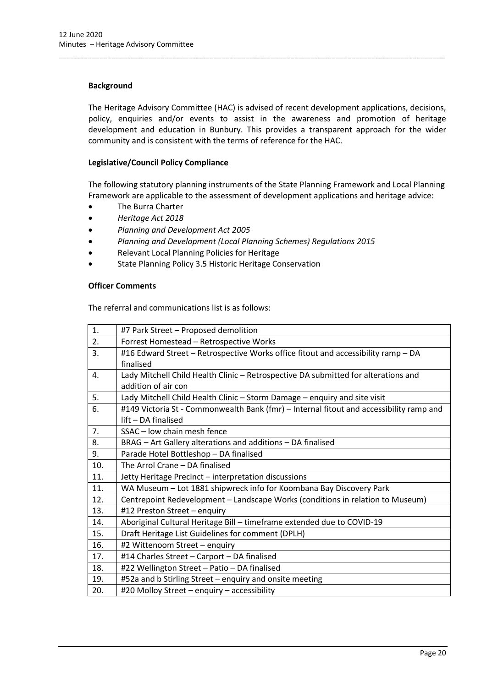## **Background**

The Heritage Advisory Committee (HAC) is advised of recent development applications, decisions, policy, enquiries and/or events to assist in the awareness and promotion of heritage development and education in Bunbury. This provides a transparent approach for the wider community and is consistent with the terms of reference for the HAC.

\_\_\_\_\_\_\_\_\_\_\_\_\_\_\_\_\_\_\_\_\_\_\_\_\_\_\_\_\_\_\_\_\_\_\_\_\_\_\_\_\_\_\_\_\_\_\_\_\_\_\_\_\_\_\_\_\_\_\_\_\_\_\_\_\_\_\_\_\_\_\_\_\_\_\_\_\_\_\_\_\_\_\_\_\_\_\_\_\_\_\_\_\_\_\_

## **Legislative/Council Policy Compliance**

The following statutory planning instruments of the State Planning Framework and Local Planning Framework are applicable to the assessment of development applications and heritage advice:

- The Burra Charter
- *Heritage Act 2018*
- *Planning and Development Act 2005*
- *Planning and Development (Local Planning Schemes) Regulations 2015*
- Relevant Local Planning Policies for Heritage
- State Planning Policy 3.5 Historic Heritage Conservation

#### **Officer Comments**

The referral and communications list is as follows:

| 1.             | #7 Park Street - Proposed demolition                                                    |  |
|----------------|-----------------------------------------------------------------------------------------|--|
| 2.             | Forrest Homestead - Retrospective Works                                                 |  |
| 3.             | #16 Edward Street - Retrospective Works office fitout and accessibility ramp - DA       |  |
|                | finalised                                                                               |  |
| 4.             | Lady Mitchell Child Health Clinic - Retrospective DA submitted for alterations and      |  |
|                | addition of air con                                                                     |  |
| 5.             | Lady Mitchell Child Health Clinic - Storm Damage - enquiry and site visit               |  |
| 6.             | #149 Victoria St - Commonwealth Bank (fmr) - Internal fitout and accessibility ramp and |  |
|                | lift - DA finalised                                                                     |  |
| 7 <sub>1</sub> | SSAC - low chain mesh fence                                                             |  |
| 8.             | BRAG - Art Gallery alterations and additions - DA finalised                             |  |
| 9.             | Parade Hotel Bottleshop - DA finalised                                                  |  |
| 10.            | The Arrol Crane - DA finalised                                                          |  |
| 11.            | Jetty Heritage Precinct - interpretation discussions                                    |  |
| 11.            | WA Museum - Lot 1881 shipwreck info for Koombana Bay Discovery Park                     |  |
| 12.            | Centrepoint Redevelopment - Landscape Works (conditions in relation to Museum)          |  |
| 13.            | #12 Preston Street - enquiry                                                            |  |
| 14.            | Aboriginal Cultural Heritage Bill - timeframe extended due to COVID-19                  |  |
| 15.            | Draft Heritage List Guidelines for comment (DPLH)                                       |  |
| 16.            | #2 Wittenoom Street - enquiry                                                           |  |
| 17.            | #14 Charles Street - Carport - DA finalised                                             |  |
| 18.            | #22 Wellington Street - Patio - DA finalised                                            |  |
| 19.            | #52a and b Stirling Street - enquiry and onsite meeting                                 |  |
| 20.            | #20 Molloy Street - enquiry - accessibility                                             |  |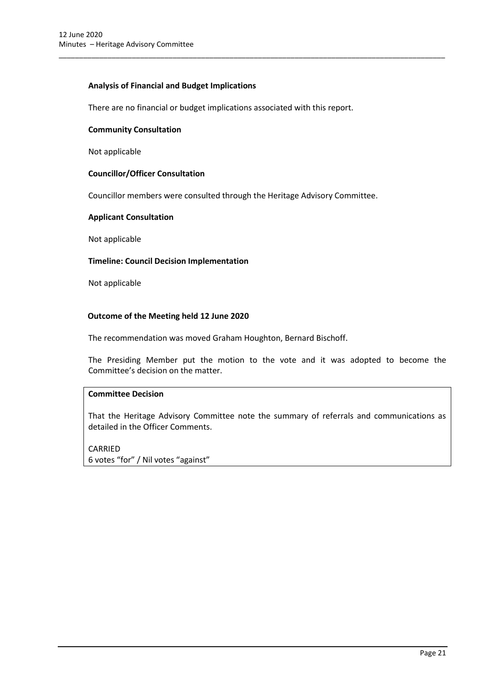## **Analysis of Financial and Budget Implications**

There are no financial or budget implications associated with this report.

\_\_\_\_\_\_\_\_\_\_\_\_\_\_\_\_\_\_\_\_\_\_\_\_\_\_\_\_\_\_\_\_\_\_\_\_\_\_\_\_\_\_\_\_\_\_\_\_\_\_\_\_\_\_\_\_\_\_\_\_\_\_\_\_\_\_\_\_\_\_\_\_\_\_\_\_\_\_\_\_\_\_\_\_\_\_\_\_\_\_\_\_\_\_\_

#### **Community Consultation**

Not applicable

## **Councillor/Officer Consultation**

Councillor members were consulted through the Heritage Advisory Committee.

## **Applicant Consultation**

Not applicable

## **Timeline: Council Decision Implementation**

Not applicable

## **Outcome of the Meeting held 12 June 2020**

The recommendation was moved Graham Houghton, Bernard Bischoff.

The Presiding Member put the motion to the vote and it was adopted to become the Committee's decision on the matter.

## **Committee Decision**

That the Heritage Advisory Committee note the summary of referrals and communications as detailed in the Officer Comments.

CARRIED 6 votes "for" / Nil votes "against"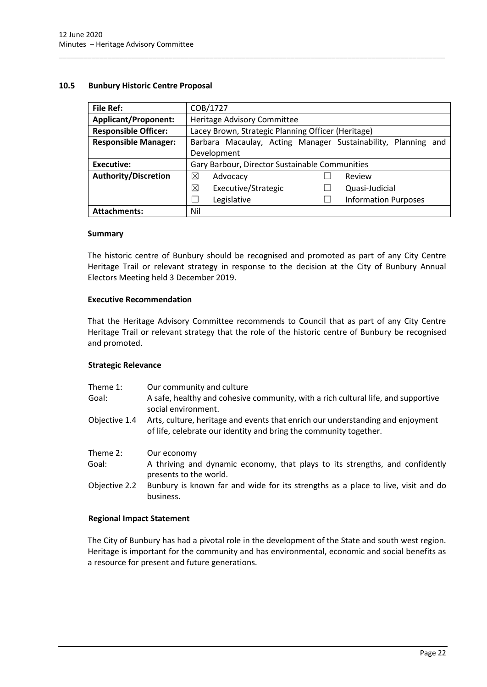## <span id="page-22-0"></span>**10.5 Bunbury Historic Centre Proposal**

| <b>File Ref:</b>            | COB/1727                                                      |  |  |
|-----------------------------|---------------------------------------------------------------|--|--|
| <b>Applicant/Proponent:</b> | Heritage Advisory Committee                                   |  |  |
| <b>Responsible Officer:</b> | Lacey Brown, Strategic Planning Officer (Heritage)            |  |  |
| <b>Responsible Manager:</b> | Barbara Macaulay, Acting Manager Sustainability, Planning and |  |  |
|                             | Development                                                   |  |  |
| Executive:                  | Gary Barbour, Director Sustainable Communities                |  |  |
| <b>Authority/Discretion</b> | ⊠<br>Review<br>Advocacy                                       |  |  |
|                             | ⊠<br>Executive/Strategic<br>Quasi-Judicial                    |  |  |
|                             | Legislative<br><b>Information Purposes</b>                    |  |  |
| <b>Attachments:</b>         | Nil                                                           |  |  |

\_\_\_\_\_\_\_\_\_\_\_\_\_\_\_\_\_\_\_\_\_\_\_\_\_\_\_\_\_\_\_\_\_\_\_\_\_\_\_\_\_\_\_\_\_\_\_\_\_\_\_\_\_\_\_\_\_\_\_\_\_\_\_\_\_\_\_\_\_\_\_\_\_\_\_\_\_\_\_\_\_\_\_\_\_\_\_\_\_\_\_\_\_\_\_

## **Summary**

The historic centre of Bunbury should be recognised and promoted as part of any City Centre Heritage Trail or relevant strategy in response to the decision at the City of Bunbury Annual Electors Meeting held 3 December 2019.

## **Executive Recommendation**

That the Heritage Advisory Committee recommends to Council that as part of any City Centre Heritage Trail or relevant strategy that the role of the historic centre of Bunbury be recognised and promoted.

## **Strategic Relevance**

| Our community and culture<br>A safe, healthy and cohesive community, with a rich cultural life, and supportive<br>social environment.               |
|-----------------------------------------------------------------------------------------------------------------------------------------------------|
| Arts, culture, heritage and events that enrich our understanding and enjoyment<br>of life, celebrate our identity and bring the community together. |
| Our economy                                                                                                                                         |
| A thriving and dynamic economy, that plays to its strengths, and confidently<br>presents to the world.                                              |
| Bunbury is known far and wide for its strengths as a place to live, visit and do<br>business.                                                       |
|                                                                                                                                                     |

## **Regional Impact Statement**

The City of Bunbury has had a pivotal role in the development of the State and south west region. Heritage is important for the community and has environmental, economic and social benefits as a resource for present and future generations.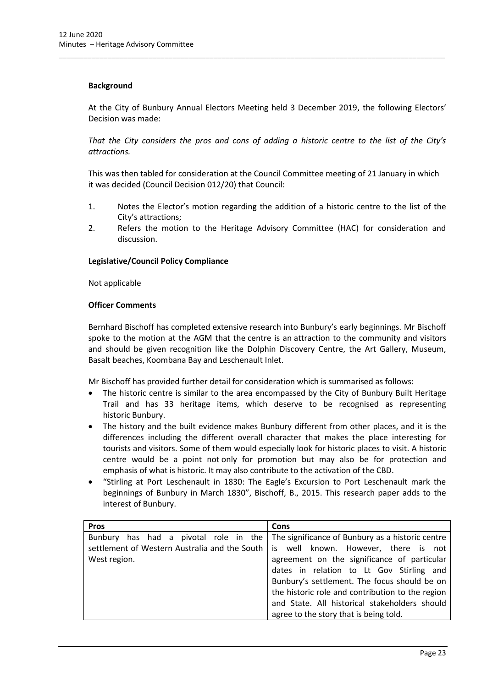## **Background**

At the City of Bunbury Annual Electors Meeting held 3 December 2019, the following Electors' Decision was made:

\_\_\_\_\_\_\_\_\_\_\_\_\_\_\_\_\_\_\_\_\_\_\_\_\_\_\_\_\_\_\_\_\_\_\_\_\_\_\_\_\_\_\_\_\_\_\_\_\_\_\_\_\_\_\_\_\_\_\_\_\_\_\_\_\_\_\_\_\_\_\_\_\_\_\_\_\_\_\_\_\_\_\_\_\_\_\_\_\_\_\_\_\_\_\_

*That the City considers the pros and cons of adding a historic centre to the list of the City's attractions.* 

This was then tabled for consideration at the Council Committee meeting of 21 January in which it was decided (Council Decision 012/20) that Council:

- 1. Notes the Elector's motion regarding the addition of a historic centre to the list of the City's attractions;
- 2. Refers the motion to the Heritage Advisory Committee (HAC) for consideration and discussion.

## **Legislative/Council Policy Compliance**

Not applicable

## **Officer Comments**

Bernhard Bischoff has completed extensive research into Bunbury's early beginnings. Mr Bischoff spoke to the motion at the AGM that the centre is an attraction to the community and visitors and should be given recognition like the Dolphin Discovery Centre, the Art Gallery, Museum, Basalt beaches, Koombana Bay and Leschenault Inlet.

Mr Bischoff has provided further detail for consideration which is summarised as follows:

- The historic centre is similar to the area encompassed by the City of Bunbury Built Heritage Trail and has 33 heritage items, which deserve to be recognised as representing historic Bunbury.
- The history and the built evidence makes Bunbury different from other places, and it is the differences including the different overall character that makes the place interesting for tourists and visitors. Some of them would especially look for historic places to visit. A historic centre would be a point not only for promotion but may also be for protection and emphasis of what is historic. It may also contribute to the activation of the CBD.
- "Stirling at Port Leschenault in 1830: The Eagle's Excursion to Port Leschenault mark the beginnings of Bunbury in March 1830", Bischoff, B., 2015. This research paper adds to the interest of Bunbury.

| <b>Pros</b>  | <b>Cons</b>                                                                            |  |  |
|--------------|----------------------------------------------------------------------------------------|--|--|
|              | Bunbury has had a pivotal role in the The significance of Bunbury as a historic centre |  |  |
|              | settlement of Western Australia and the South   is well known. However, there is not   |  |  |
| West region. | agreement on the significance of particular                                            |  |  |
|              | dates in relation to Lt Gov Stirling and                                               |  |  |
|              | Bunbury's settlement. The focus should be on                                           |  |  |
|              | the historic role and contribution to the region                                       |  |  |
|              | and State. All historical stakeholders should                                          |  |  |
|              | agree to the story that is being told.                                                 |  |  |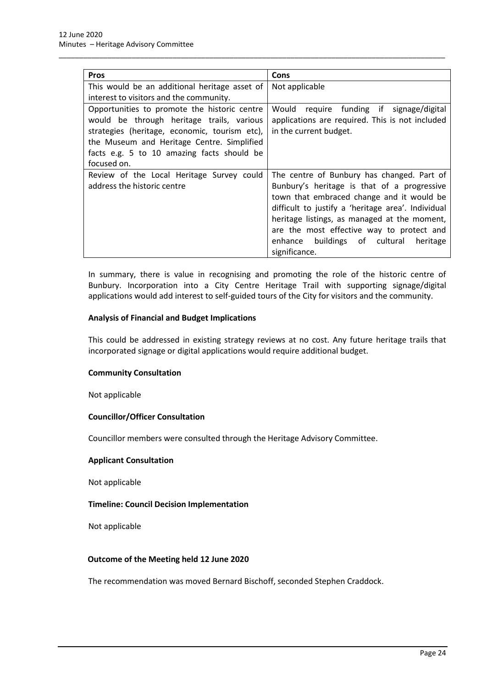| <b>Pros</b>                                   | Cons                                               |  |  |
|-----------------------------------------------|----------------------------------------------------|--|--|
| This would be an additional heritage asset of | Not applicable                                     |  |  |
| interest to visitors and the community.       |                                                    |  |  |
| Opportunities to promote the historic centre  | Would require funding if signage/digital           |  |  |
| would be through heritage trails, various     | applications are required. This is not included    |  |  |
| strategies (heritage, economic, tourism etc), | in the current budget.                             |  |  |
| the Museum and Heritage Centre. Simplified    |                                                    |  |  |
| facts e.g. 5 to 10 amazing facts should be    |                                                    |  |  |
| focused on.                                   |                                                    |  |  |
| Review of the Local Heritage Survey could     | The centre of Bunbury has changed. Part of         |  |  |
| address the historic centre                   | Bunbury's heritage is that of a progressive        |  |  |
|                                               | town that embraced change and it would be          |  |  |
|                                               | difficult to justify a 'heritage area'. Individual |  |  |
|                                               | heritage listings, as managed at the moment,       |  |  |
|                                               | are the most effective way to protect and          |  |  |
|                                               | enhance buildings of cultural<br>heritage          |  |  |
|                                               | significance.                                      |  |  |

\_\_\_\_\_\_\_\_\_\_\_\_\_\_\_\_\_\_\_\_\_\_\_\_\_\_\_\_\_\_\_\_\_\_\_\_\_\_\_\_\_\_\_\_\_\_\_\_\_\_\_\_\_\_\_\_\_\_\_\_\_\_\_\_\_\_\_\_\_\_\_\_\_\_\_\_\_\_\_\_\_\_\_\_\_\_\_\_\_\_\_\_\_\_\_

In summary, there is value in recognising and promoting the role of the historic centre of Bunbury. Incorporation into a City Centre Heritage Trail with supporting signage/digital applications would add interest to self-guided tours of the City for visitors and the community.

## **Analysis of Financial and Budget Implications**

This could be addressed in existing strategy reviews at no cost. Any future heritage trails that incorporated signage or digital applications would require additional budget.

## **Community Consultation**

Not applicable

## **Councillor/Officer Consultation**

Councillor members were consulted through the Heritage Advisory Committee.

#### **Applicant Consultation**

Not applicable

## **Timeline: Council Decision Implementation**

Not applicable

## **Outcome of the Meeting held 12 June 2020**

The recommendation was moved Bernard Bischoff, seconded Stephen Craddock.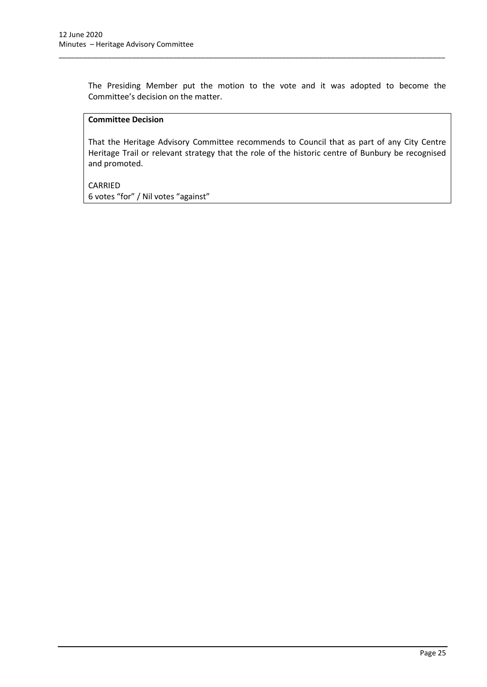The Presiding Member put the motion to the vote and it was adopted to become the Committee's decision on the matter.

\_\_\_\_\_\_\_\_\_\_\_\_\_\_\_\_\_\_\_\_\_\_\_\_\_\_\_\_\_\_\_\_\_\_\_\_\_\_\_\_\_\_\_\_\_\_\_\_\_\_\_\_\_\_\_\_\_\_\_\_\_\_\_\_\_\_\_\_\_\_\_\_\_\_\_\_\_\_\_\_\_\_\_\_\_\_\_\_\_\_\_\_\_\_\_

## **Committee Decision**

That the Heritage Advisory Committee recommends to Council that as part of any City Centre Heritage Trail or relevant strategy that the role of the historic centre of Bunbury be recognised and promoted.

CARRIED 6 votes "for" / Nil votes "against"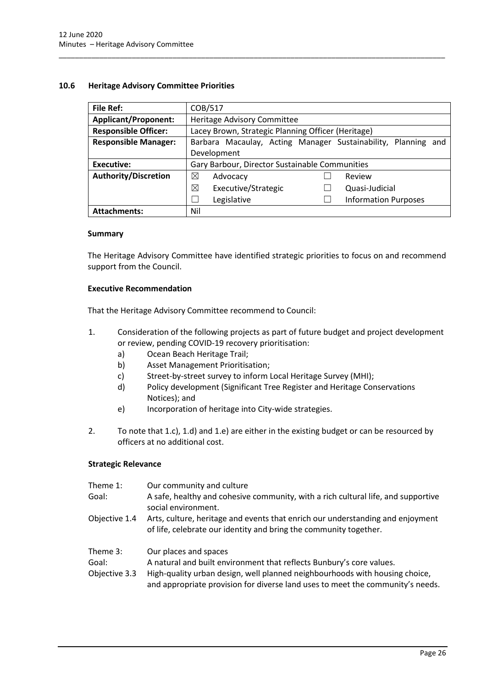## <span id="page-26-0"></span>**10.6 Heritage Advisory Committee Priorities**

| File Ref:                   | COB/517                                                          |  |  |
|-----------------------------|------------------------------------------------------------------|--|--|
| <b>Applicant/Proponent:</b> | Heritage Advisory Committee                                      |  |  |
| <b>Responsible Officer:</b> | Lacey Brown, Strategic Planning Officer (Heritage)               |  |  |
| <b>Responsible Manager:</b> | Barbara Macaulay, Acting Manager Sustainability, Planning<br>and |  |  |
|                             | Development                                                      |  |  |
| <b>Executive:</b>           | Gary Barbour, Director Sustainable Communities                   |  |  |
| <b>Authority/Discretion</b> | ⊠<br>Advocacy<br>Review                                          |  |  |
|                             | ⊠<br>Executive/Strategic<br>Quasi-Judicial                       |  |  |
|                             | <b>Information Purposes</b><br>Legislative                       |  |  |
| <b>Attachments:</b>         | Nil                                                              |  |  |

\_\_\_\_\_\_\_\_\_\_\_\_\_\_\_\_\_\_\_\_\_\_\_\_\_\_\_\_\_\_\_\_\_\_\_\_\_\_\_\_\_\_\_\_\_\_\_\_\_\_\_\_\_\_\_\_\_\_\_\_\_\_\_\_\_\_\_\_\_\_\_\_\_\_\_\_\_\_\_\_\_\_\_\_\_\_\_\_\_\_\_\_\_\_\_

## **Summary**

The Heritage Advisory Committee have identified strategic priorities to focus on and recommend support from the Council.

## **Executive Recommendation**

That the Heritage Advisory Committee recommend to Council:

- 1. Consideration of the following projects as part of future budget and project development or review, pending COVID-19 recovery prioritisation:
	- a) Ocean Beach Heritage Trail;
	- b) Asset Management Prioritisation;
	- c) Street-by-street survey to inform Local Heritage Survey (MHI);
	- d) Policy development (Significant Tree Register and Heritage Conservations Notices); and
	- e) Incorporation of heritage into City-wide strategies.
- 2. To note that 1.c), 1.d) and 1.e) are either in the existing budget or can be resourced by officers at no additional cost.

## **Strategic Relevance**

| Theme 1:      | Our community and culture                                                                                                                                     |
|---------------|---------------------------------------------------------------------------------------------------------------------------------------------------------------|
| Goal:         | A safe, healthy and cohesive community, with a rich cultural life, and supportive<br>social environment.                                                      |
| Objective 1.4 | Arts, culture, heritage and events that enrich our understanding and enjoyment<br>of life, celebrate our identity and bring the community together.           |
| Theme 3:      | Our places and spaces                                                                                                                                         |
| Goal:         | A natural and built environment that reflects Bunbury's core values.                                                                                          |
| Objective 3.3 | High-quality urban design, well planned neighbourhoods with housing choice,<br>and appropriate provision for diverse land uses to meet the community's needs. |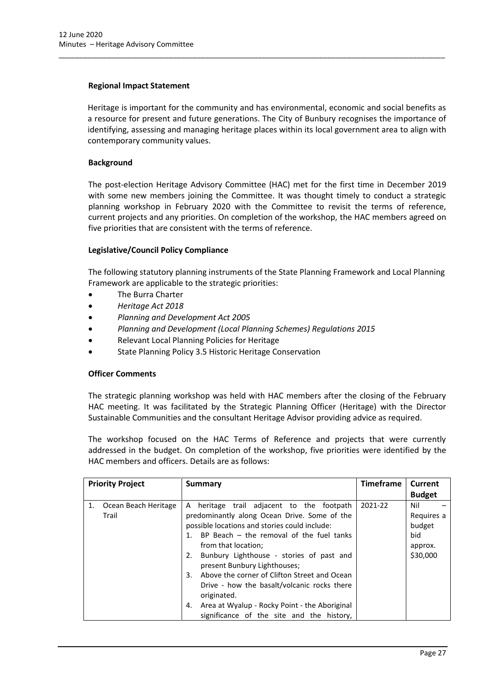## **Regional Impact Statement**

Heritage is important for the community and has environmental, economic and social benefits as a resource for present and future generations. The City of Bunbury recognises the importance of identifying, assessing and managing heritage places within its local government area to align with contemporary community values.

\_\_\_\_\_\_\_\_\_\_\_\_\_\_\_\_\_\_\_\_\_\_\_\_\_\_\_\_\_\_\_\_\_\_\_\_\_\_\_\_\_\_\_\_\_\_\_\_\_\_\_\_\_\_\_\_\_\_\_\_\_\_\_\_\_\_\_\_\_\_\_\_\_\_\_\_\_\_\_\_\_\_\_\_\_\_\_\_\_\_\_\_\_\_\_

## **Background**

The post-election Heritage Advisory Committee (HAC) met for the first time in December 2019 with some new members joining the Committee. It was thought timely to conduct a strategic planning workshop in February 2020 with the Committee to revisit the terms of reference, current projects and any priorities. On completion of the workshop, the HAC members agreed on five priorities that are consistent with the terms of reference.

## **Legislative/Council Policy Compliance**

The following statutory planning instruments of the State Planning Framework and Local Planning Framework are applicable to the strategic priorities:

- The Burra Charter
- *Heritage Act 2018*
- *Planning and Development Act 2005*
- *Planning and Development (Local Planning Schemes) Regulations 2015*
- Relevant Local Planning Policies for Heritage
- State Planning Policy 3.5 Historic Heritage Conservation

## **Officer Comments**

The strategic planning workshop was held with HAC members after the closing of the February HAC meeting. It was facilitated by the Strategic Planning Officer (Heritage) with the Director Sustainable Communities and the consultant Heritage Advisor providing advice as required.

The workshop focused on the HAC Terms of Reference and projects that were currently addressed in the budget. On completion of the workshop, five priorities were identified by the HAC members and officers. Details are as follows:

| <b>Priority Project</b>             | Summary                                                                                                                                                                                                                                                                                                                                                                                                                                                                                                                       | <b>Timeframe</b> | Current                                                   |
|-------------------------------------|-------------------------------------------------------------------------------------------------------------------------------------------------------------------------------------------------------------------------------------------------------------------------------------------------------------------------------------------------------------------------------------------------------------------------------------------------------------------------------------------------------------------------------|------------------|-----------------------------------------------------------|
|                                     |                                                                                                                                                                                                                                                                                                                                                                                                                                                                                                                               |                  | <b>Budget</b>                                             |
| 1.<br>Ocean Beach Heritage<br>Trail | heritage trail adjacent to the footpath<br>A<br>predominantly along Ocean Drive. Some of the<br>possible locations and stories could include:<br>1. BP Beach – the removal of the fuel tanks<br>from that location;<br>Bunbury Lighthouse - stories of past and<br>2.<br>present Bunbury Lighthouses;<br>Above the corner of Clifton Street and Ocean<br>3.<br>Drive - how the basalt/volcanic rocks there<br>originated.<br>Area at Wyalup - Rocky Point - the Aboriginal<br>4.<br>significance of the site and the history, | 2021-22          | Nil<br>Requires a<br>budget<br>bid<br>approx.<br>\$30,000 |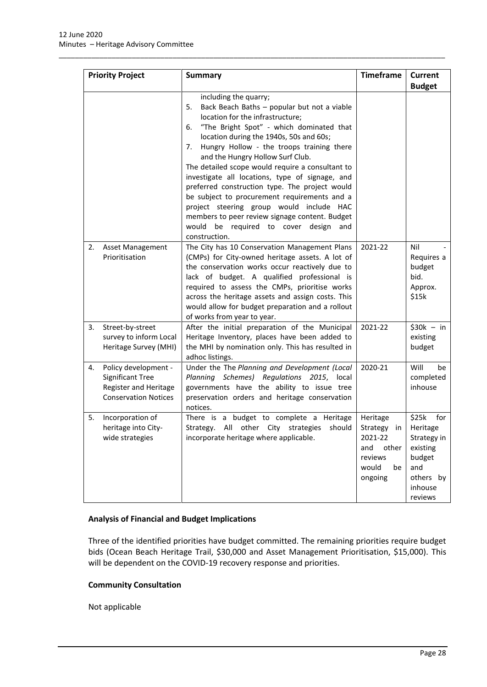|    | <b>Priority Project</b>                                                                                 | <b>Summary</b>                                                                                                                                                                                                                                                                                                                                                                                                                                                                                                                                                                                                                                                         | <b>Timeframe</b>                                                                        | Current<br><b>Budget</b>                                                                                |
|----|---------------------------------------------------------------------------------------------------------|------------------------------------------------------------------------------------------------------------------------------------------------------------------------------------------------------------------------------------------------------------------------------------------------------------------------------------------------------------------------------------------------------------------------------------------------------------------------------------------------------------------------------------------------------------------------------------------------------------------------------------------------------------------------|-----------------------------------------------------------------------------------------|---------------------------------------------------------------------------------------------------------|
|    |                                                                                                         | including the quarry;<br>Back Beach Baths - popular but not a viable<br>5.<br>location for the infrastructure;<br>"The Bright Spot" - which dominated that<br>6.<br>location during the 1940s, 50s and 60s;<br>Hungry Hollow - the troops training there<br>7.<br>and the Hungry Hollow Surf Club.<br>The detailed scope would require a consultant to<br>investigate all locations, type of signage, and<br>preferred construction type. The project would<br>be subject to procurement requirements and a<br>project steering group would include HAC<br>members to peer review signage content. Budget<br>would be required to cover design<br>and<br>construction. |                                                                                         |                                                                                                         |
| 2. | Asset Management<br>Prioritisation                                                                      | The City has 10 Conservation Management Plans<br>(CMPs) for City-owned heritage assets. A lot of<br>the conservation works occur reactively due to<br>lack of budget. A qualified professional is<br>required to assess the CMPs, prioritise works<br>across the heritage assets and assign costs. This<br>would allow for budget preparation and a rollout<br>of works from year to year.                                                                                                                                                                                                                                                                             | 2021-22                                                                                 | Nil<br>Requires a<br>budget<br>bid.<br>Approx.<br>\$15k                                                 |
| 3. | Street-by-street<br>survey to inform Local<br>Heritage Survey (MHI)                                     | After the initial preparation of the Municipal<br>Heritage Inventory, places have been added to<br>the MHI by nomination only. This has resulted in<br>adhoc listings.                                                                                                                                                                                                                                                                                                                                                                                                                                                                                                 | 2021-22                                                                                 | $$30k - in$<br>existing<br>budget                                                                       |
| 4. | Policy development -<br><b>Significant Tree</b><br>Register and Heritage<br><b>Conservation Notices</b> | Under the The Planning and Development (Local<br>Planning Schemes) Regulations 2015, local<br>governments have the ability to issue tree<br>preservation orders and heritage conservation<br>notices.                                                                                                                                                                                                                                                                                                                                                                                                                                                                  | 2020-21                                                                                 | Will<br>be<br>completed<br>inhouse                                                                      |
| 5. | Incorporation of<br>heritage into City-<br>wide strategies                                              | There is a budget to complete a Heritage<br>All other City<br>strategies<br>should<br>Strategy.<br>incorporate heritage where applicable.                                                                                                                                                                                                                                                                                                                                                                                                                                                                                                                              | Heritage<br>Strategy in<br>2021-22<br>other<br>and<br>reviews<br>would<br>be<br>ongoing | \$25k<br>for<br>Heritage<br>Strategy in<br>existing<br>budget<br>and<br>others by<br>inhouse<br>reviews |

\_\_\_\_\_\_\_\_\_\_\_\_\_\_\_\_\_\_\_\_\_\_\_\_\_\_\_\_\_\_\_\_\_\_\_\_\_\_\_\_\_\_\_\_\_\_\_\_\_\_\_\_\_\_\_\_\_\_\_\_\_\_\_\_\_\_\_\_\_\_\_\_\_\_\_\_\_\_\_\_\_\_\_\_\_\_\_\_\_\_\_\_\_\_\_

## **Analysis of Financial and Budget Implications**

Three of the identified priorities have budget committed. The remaining priorities require budget bids (Ocean Beach Heritage Trail, \$30,000 and Asset Management Prioritisation, \$15,000). This will be dependent on the COVID-19 recovery response and priorities.

## **Community Consultation**

Not applicable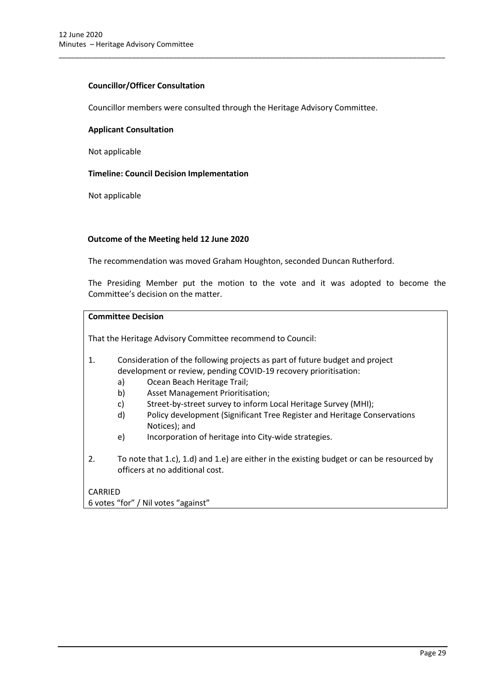## **Councillor/Officer Consultation**

Councillor members were consulted through the Heritage Advisory Committee.

\_\_\_\_\_\_\_\_\_\_\_\_\_\_\_\_\_\_\_\_\_\_\_\_\_\_\_\_\_\_\_\_\_\_\_\_\_\_\_\_\_\_\_\_\_\_\_\_\_\_\_\_\_\_\_\_\_\_\_\_\_\_\_\_\_\_\_\_\_\_\_\_\_\_\_\_\_\_\_\_\_\_\_\_\_\_\_\_\_\_\_\_\_\_\_

#### **Applicant Consultation**

Not applicable

#### **Timeline: Council Decision Implementation**

Not applicable

## **Outcome of the Meeting held 12 June 2020**

The recommendation was moved Graham Houghton, seconded Duncan Rutherford.

The Presiding Member put the motion to the vote and it was adopted to become the Committee's decision on the matter.

## **Committee Decision**

That the Heritage Advisory Committee recommend to Council:

## 1. Consideration of the following projects as part of future budget and project development or review, pending COVID-19 recovery prioritisation:

- a) Ocean Beach Heritage Trail;
- b) Asset Management Prioritisation;
- c) Street-by-street survey to inform Local Heritage Survey (MHI);
- d) Policy development (Significant Tree Register and Heritage Conservations Notices); and
- e) Incorporation of heritage into City-wide strategies.
- 2. To note that 1.c), 1.d) and 1.e) are either in the existing budget or can be resourced by officers at no additional cost.

# CARRIED

6 votes "for" / Nil votes "against"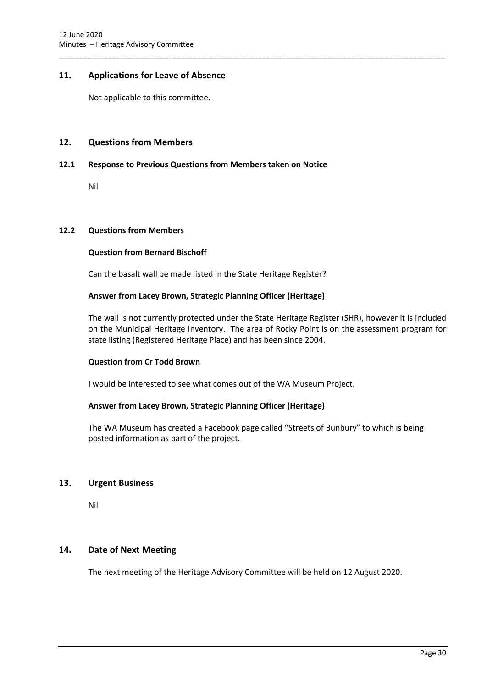## <span id="page-30-0"></span>**11. Applications for Leave of Absence**

Not applicable to this committee.

## <span id="page-30-1"></span>**12. Questions from Members**

## <span id="page-30-2"></span>**12.1 Response to Previous Questions from Members taken on Notice**

Nil

#### <span id="page-30-3"></span>**12.2 Questions from Members**

#### **Question from Bernard Bischoff**

Can the basalt wall be made listed in the State Heritage Register?

## **Answer from Lacey Brown, Strategic Planning Officer (Heritage)**

The wall is not currently protected under the State Heritage Register (SHR), however it is included on the Municipal Heritage Inventory. The area of Rocky Point is on the assessment program for state listing (Registered Heritage Place) and has been since 2004.

\_\_\_\_\_\_\_\_\_\_\_\_\_\_\_\_\_\_\_\_\_\_\_\_\_\_\_\_\_\_\_\_\_\_\_\_\_\_\_\_\_\_\_\_\_\_\_\_\_\_\_\_\_\_\_\_\_\_\_\_\_\_\_\_\_\_\_\_\_\_\_\_\_\_\_\_\_\_\_\_\_\_\_\_\_\_\_\_\_\_\_\_\_\_\_

## **Question from Cr Todd Brown**

I would be interested to see what comes out of the WA Museum Project.

## **Answer from Lacey Brown, Strategic Planning Officer (Heritage)**

The WA Museum has created a Facebook page called "Streets of Bunbury" to which is being posted information as part of the project.

## <span id="page-30-4"></span>**13. Urgent Business**

Nil

## <span id="page-30-5"></span>**14. Date of Next Meeting**

The next meeting of the Heritage Advisory Committee will be held on 12 August 2020.